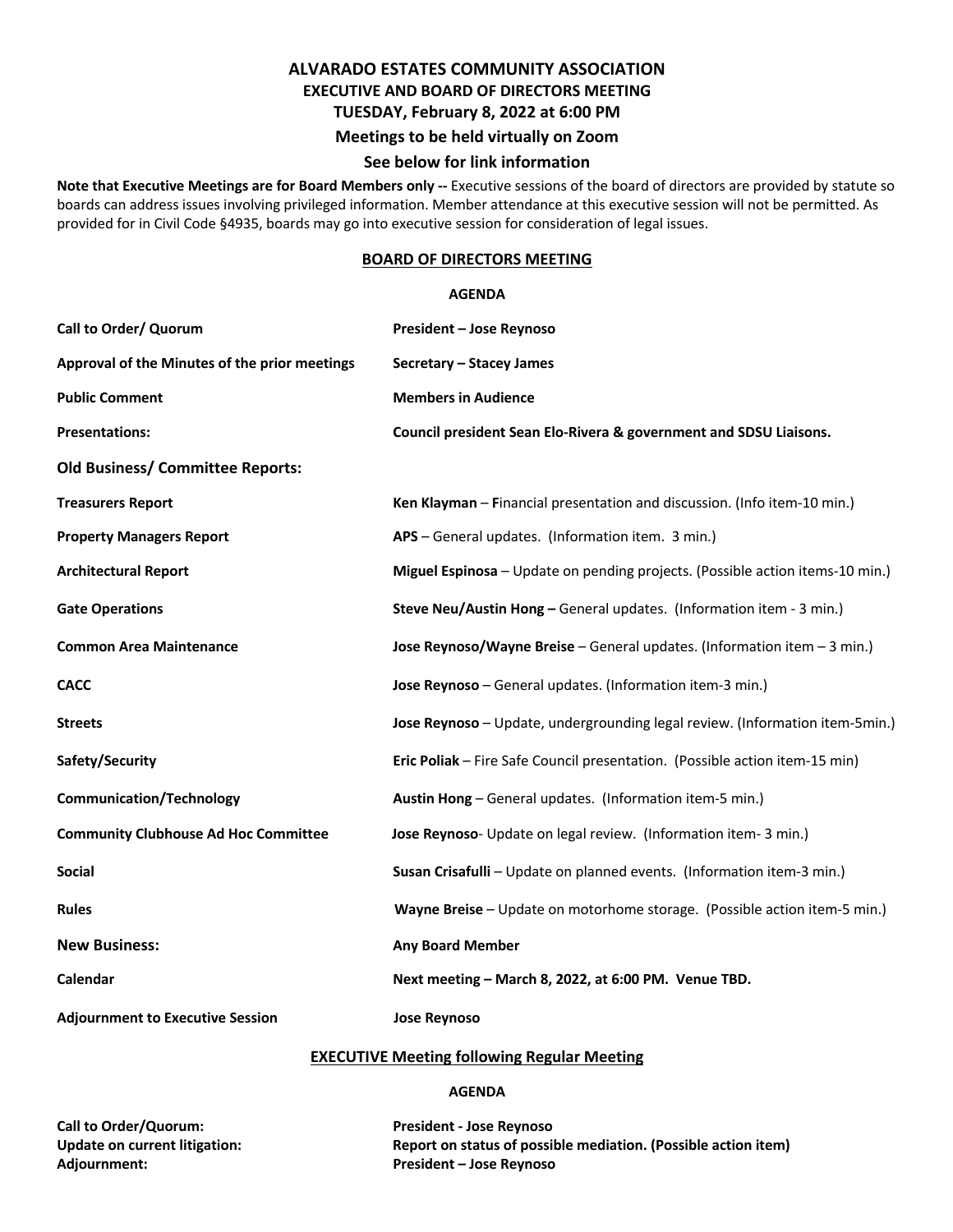# **ALVARADO ESTATES COMMUNITY ASSOCIATION EXECUTIVE AND BOARD OF DIRECTORS MEETING TUESDAY, February 8, 2022 at 6:00 PM Meetings to be held virtually on Zoom**

### **See below for link information**

**Note that Executive Meetings are for Board Members only --** Executive sessions of the board of directors are provided by statute so boards can address issues involving privileged information. Member attendance at this executive session will not be permitted. As provided for in Civil Code §4935, boards may go into executive session for consideration of legal issues.

#### **BOARD OF DIRECTORS MEETING**

#### **AGENDA**

| Call to Order/ Quorum                         | <b>President - Jose Reynoso</b>                                               |
|-----------------------------------------------|-------------------------------------------------------------------------------|
| Approval of the Minutes of the prior meetings | Secretary - Stacey James                                                      |
| <b>Public Comment</b>                         | <b>Members in Audience</b>                                                    |
| <b>Presentations:</b>                         | Council president Sean Elo-Rivera & government and SDSU Liaisons.             |
| <b>Old Business/ Committee Reports:</b>       |                                                                               |
| <b>Treasurers Report</b>                      | Ken Klayman - Financial presentation and discussion. (Info item-10 min.)      |
| <b>Property Managers Report</b>               | APS - General updates. (Information item. 3 min.)                             |
| <b>Architectural Report</b>                   | Miguel Espinosa - Update on pending projects. (Possible action items-10 min.) |
| <b>Gate Operations</b>                        | Steve Neu/Austin Hong - General updates. (Information item - 3 min.)          |
| <b>Common Area Maintenance</b>                | Jose Reynoso/Wayne Breise - General updates. (Information item $-3$ min.)     |
| <b>CACC</b>                                   | Jose Reynoso - General updates. (Information item-3 min.)                     |
| <b>Streets</b>                                | Jose Reynoso - Update, undergrounding legal review. (Information item-5min.)  |
| Safety/Security                               | Eric Poliak - Fire Safe Council presentation. (Possible action item-15 min)   |
| <b>Communication/Technology</b>               | Austin Hong - General updates. (Information item-5 min.)                      |
| <b>Community Clubhouse Ad Hoc Committee</b>   | Jose Reynoso- Update on legal review. (Information item- 3 min.)              |
| <b>Social</b>                                 | Susan Crisafulli - Update on planned events. (Information item-3 min.)        |
| <b>Rules</b>                                  | Wayne Breise - Update on motorhome storage. (Possible action item-5 min.)     |
| <b>New Business:</b>                          | <b>Any Board Member</b>                                                       |
| Calendar                                      | Next meeting - March 8, 2022, at 6:00 PM. Venue TBD.                          |
| <b>Adjournment to Executive Session</b>       | <b>Jose Reynoso</b>                                                           |

#### **EXECUTIVE Meeting following Regular Meeting**

#### **AGENDA**

**Call to Order/Quorum: President - Jose Reynoso Adjournment: President – Jose Reynoso**

**Update on current litigation: Report on status of possible mediation. (Possible action item)**